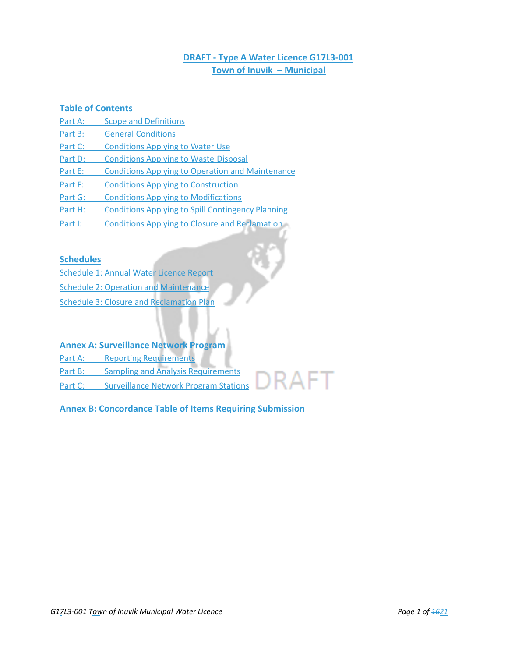# **DRAFT - Type A Water Licence G17L3-001 Town of Inuvik – Municipal**

R ∆ F T

## **Table of Contents**

- Part A: Scope and Definitions
- Part B: General Conditions
- Part C: Conditions Applying to Water Use
- Part D: Conditions Applying to Waste Disposal
- Part E: Conditions Applying to Operation and Maintenance
- Part F: Conditions Applying to Construction
- Part G: Conditions Applying to Modifications
- Part H: Conditions Applying to Spill Contingency Planning
- Part I: Conditions Applying to Closure and Reclamation

## **Schedules**

- Schedule 1: Annual Water Licence Report Schedule 2: Operation and Maintenance
- Schedule 3: Closure and Reclamation Plan

# **Annex A: Surveillance Network Program**

- Part A: Reporting Requirements
- Part B: Sampling and Analysis Requirements
- Part C: Surveillance Network Program Stations

# **Annex B: Concordance Table of Items Requiring Submission**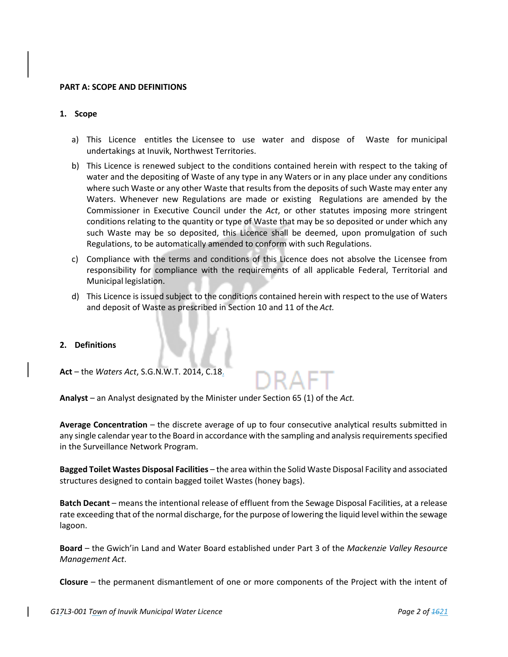#### **PART A: SCOPE AND DEFINITIONS**

#### **1. Scope**

- a) This Licence entitles the Licensee to use water and dispose of Waste for municipal undertakings at Inuvik, Northwest Territories.
- b) This Licence is renewed subject to the conditions contained herein with respect to the taking of water and the depositing of Waste of any type in any Waters or in any place under any conditions where such Waste or any other Waste that results from the deposits of such Waste may enter any Waters. Whenever new Regulations are made or existing Regulations are amended by the Commissioner in Executive Council under the *Act*, or other statutes imposing more stringent conditions relating to the quantity or type of Waste that may be so deposited or under which any such Waste may be so deposited, this Licence shall be deemed, upon promulgation of such Regulations, to be automatically amended to conform with such Regulations.
- c) Compliance with the terms and conditions of this Licence does not absolve the Licensee from responsibility for compliance with the requirements of all applicable Federal, Territorial and Municipal legislation.
- d) This Licence is issued subject to the conditions contained herein with respect to the use of Waters and deposit of Waste as prescribed in Section 10 and 11 of the *Act.*

#### **2. Definitions**

**Act** – the *Waters Act*, S.G.N.W.T. 2014, C.18.

**Analyst** – an Analyst designated by the Minister under Section 65 (1) of the *Act.*

**Average Concentration** – the discrete average of up to four consecutive analytical results submitted in any single calendar year to the Board in accordance with the sampling and analysis requirements specified in the Surveillance Network Program.

**Bagged Toilet Wastes Disposal Facilities** – the area within the Solid Waste Disposal Facility and associated structures designed to contain bagged toilet Wastes (honey bags).

**Batch Decant** – means the intentional release of effluent from the Sewage Disposal Facilities, at a release rate exceeding that of the normal discharge, for the purpose of lowering the liquid level within the sewage lagoon.

**Board** – the Gwich'in Land and Water Board established under Part 3 of the *Mackenzie Valley Resource Management Act*.

**Closure** – the permanent dismantlement of one or more components of the Project with the intent of

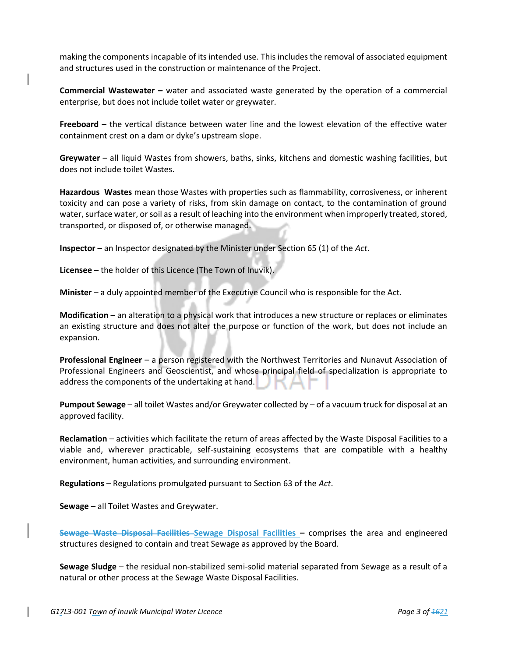making the components incapable of its intended use. This includes the removal of associated equipment and structures used in the construction or maintenance of the Project.

**Commercial Wastewater –** water and associated waste generated by the operation of a commercial enterprise, but does not include toilet water or greywater.

**Freeboard –** the vertical distance between water line and the lowest elevation of the effective water containment crest on a dam or dyke's upstream slope.

**Greywater** – all liquid Wastes from showers, baths, sinks, kitchens and domestic washing facilities, but does not include toilet Wastes.

**Hazardous Wastes** mean those Wastes with properties such as flammability, corrosiveness, or inherent toxicity and can pose a variety of risks, from skin damage on contact, to the contamination of ground water, surface water, or soil as a result of leaching into the environment when improperly treated, stored, transported, or disposed of, or otherwise managed.

**Inspector** – an Inspector designated by the Minister under Section 65 (1) of the *Act*.

**Licensee –** the holder of this Licence (The Town of Inuvik).

**Minister** – a duly appointed member of the Executive Council who is responsible for the Act.

**Modification** – an alteration to a physical work that introduces a new structure or replaces or eliminates an existing structure and does not alter the purpose or function of the work, but does not include an expansion.

**Professional Engineer** – a person registered with the Northwest Territories and Nunavut Association of Professional Engineers and Geoscientist, and whose principal field of specialization is appropriate to address the components of the undertaking at hand.

**Pumpout Sewage** – all toilet Wastes and/or Greywater collected by – of a vacuum truck for disposal at an approved facility.

**Reclamation** – activities which facilitate the return of areas affected by the Waste Disposal Facilities to a viable and, wherever practicable, self-sustaining ecosystems that are compatible with a healthy environment, human activities, and surrounding environment.

**Regulations** – Regulations promulgated pursuant to Section 63 of the *Act*.

**Sewage** – all Toilet Wastes and Greywater.

**Sewage Waste Disposal Facilities Sewage Disposal Facilities –** comprises the area and engineered structures designed to contain and treat Sewage as approved by the Board.

**Sewage Sludge** – the residual non-stabilized semi-solid material separated from Sewage as a result of a natural or other process at the Sewage Waste Disposal Facilities.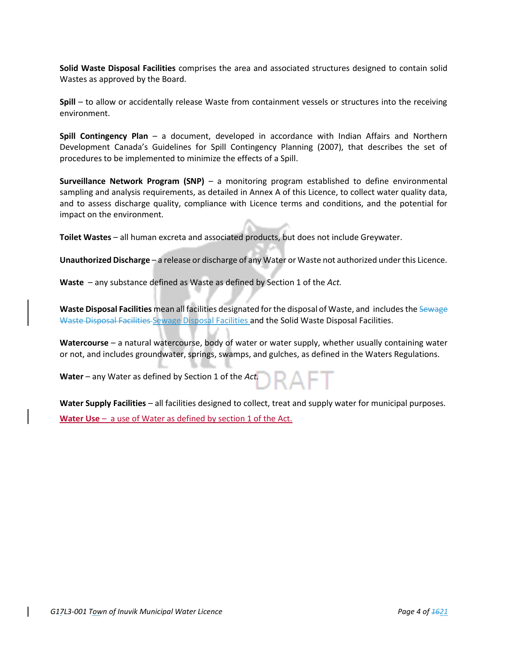**Solid Waste Disposal Facilities** comprises the area and associated structures designed to contain solid Wastes as approved by the Board.

**Spill** – to allow or accidentally release Waste from containment vessels or structures into the receiving environment.

**Spill Contingency Plan** – a document, developed in accordance with Indian Affairs and Northern Development Canada's Guidelines for Spill Contingency Planning (2007), that describes the set of procedures to be implemented to minimize the effects of a Spill.

**Surveillance Network Program (SNP)** – a monitoring program established to define environmental sampling and analysis requirements, as detailed in Annex A of this Licence, to collect water quality data, and to assess discharge quality, compliance with Licence terms and conditions, and the potential for impact on the environment.

**Toilet Wastes** – all human excreta and associated products, but does not include Greywater.

**Unauthorized Discharge** – a release or discharge of any Water or Waste not authorized under this Licence.

**Waste** – any substance defined as Waste as defined by Section 1 of the *Act.*

**Waste Disposal Facilities** mean all facilities designated for the disposal of Waste, and includes the Sewage Waste Disposal Facilities Sewage Disposal Facilities and the Solid Waste Disposal Facilities.

**Watercourse** – a natural watercourse, body of water or water supply, whether usually containing water or not, and includes groundwater, springs, swamps, and gulches, as defined in the Waters Regulations.

**Water** – any Water as defined by Section 1 of the *Act.* 

**Water Supply Facilities** – all facilities designed to collect, treat and supply water for municipal purposes. **Water Use** – a use of Water as defined by section 1 of the Act.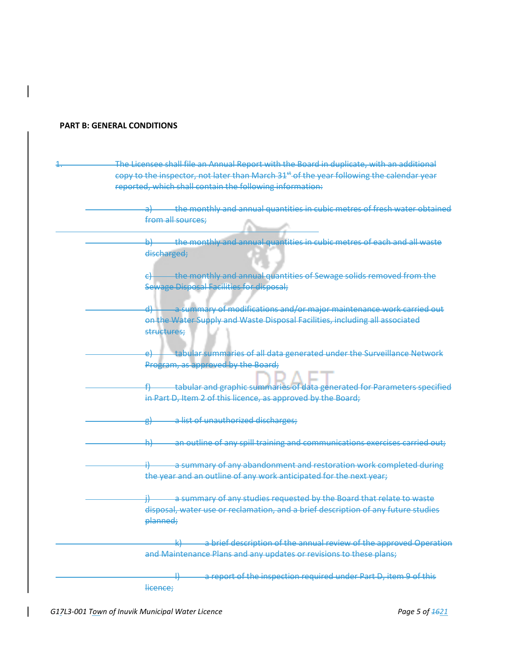#### **PART B: GENERAL CONDITIONS**

- The Licensee shall file an Annual Report with the Board in duplicate, with an additional copy to the inspector, not later than March 31<sup>st</sup> of the year following the calendar year reported, which shall contain the following information:
	- a) the monthly and annual quantities in cubic metres of fresh water obtained from all sources;
		- b) the monthly and annual quantities in cubic metres of each and all waste discharged;
		- $\epsilon$  the monthly and annual quantities of Sewage solids removed from the Sewage Disposal Facilities for disposal;
		- d) a summary of modifications and/or major maintenance work carried out on the Water Supply and Waste Disposal Facilities, including all associated structures;
		- e) tabular summaries of all data generated under the Surveillance Network Program, as approved by the Board;
		- f) tabular and graphic summaries of data generated for Parameters specified in Part D, Item 2 of this licence, as approved by the Board;
		- g) a list of unauthorized discharges;
		- h) an outline of any spill training and communications exercises carried out;
			- a summary of any abandonment and restoration work completed during the year and an outline of any work anticipated for the next year;
				- a summary of any studies requested by the Board that relate to waste disposal, water use or reclamation, and a brief description of any future studies planned;
				- a brief description of the annual review of the approved Operation and Maintenance Plans and any updates or revisions to these plans;

a report of the inspection required under Part D, item 9 of this licence;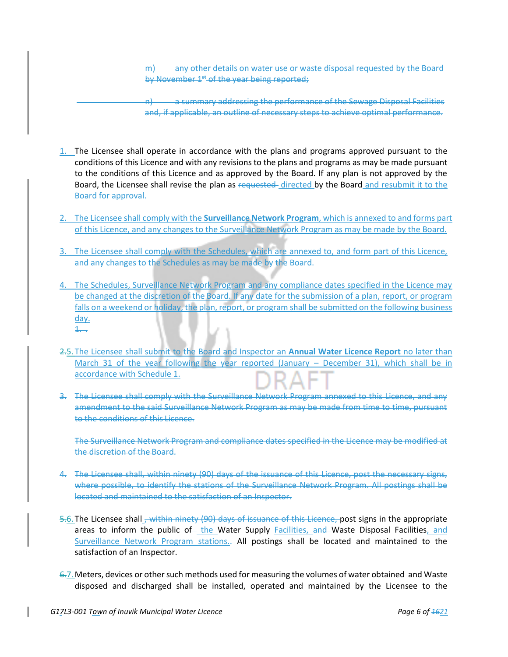any other details on water use or waste disposal requested by the Board by November 1<sup>st</sup> of the year being reported;

n) a summary addressing the performance of the Sewage Disposal Facilities and, if applicable, an outline of necessary steps to achieve optimal performance.

- 1. The Licensee shall operate in accordance with the plans and programs approved pursuant to the conditions of this Licence and with any revisions to the plans and programs as may be made pursuant to the conditions of this Licence and as approved by the Board. If any plan is not approved by the Board, the Licensee shall revise the plan as requested directed by the Board and resubmit it to the Board for approval.
- 2. The Licensee shall comply with the **Surveillance Network Program**, which is annexed to and forms part of this Licence, and any changes to the Surveillance Network Program as may be made by the Board.
- 3. The Licensee shall comply with the Schedules, which are annexed to, and form part of this Licence, and any changes to the Schedules as may be made by the Board.
- 4. The Schedules, Surveillance Network Program and any compliance dates specified in the Licence may be changed at the discretion of the Board. If any date for the submission of a plan, report, or program falls on a weekend or holiday, the plan, report, or program shall be submitted on the following business day.  $1.$
- 2.5.The Licensee shall submit to the Board and Inspector an **Annual Water Licence Report** no later than March 31 of the year following the year reported (January – December 31), which shall be in accordance with Schedule 1.
- 3. The Licensee shall comply with the Surveillance Network Program annexed to this Licence, and any amendment to the said Surveillance Network Program as may be made from time to time, pursuant to the conditions of this Licence.

The Surveillance Network Program and compliance dates specified in the Licence may be modified at the discretion of the Board.

- 4. The Licensee shall, within ninety (90) days of the issuance of this Licence, post the necessary signs, where possible, to identify the stations of the Surveillance Network Program. All postings shall be located and maintained to the satisfaction of an Inspector.
- 5.6. The Licensee shall , within ninety (90) days of issuance of this Licence, post signs in the appropriate areas to inform the public of the Water Supply Facilities, and Waste Disposal Facilities, and Surveillance Network Program stations.<sub>7</sub> All postings shall be located and maintained to the satisfaction of an Inspector.
- 6.7. Meters, devices or other such methods used for measuring the volumes of water obtained and Waste disposed and discharged shall be installed, operated and maintained by the Licensee to the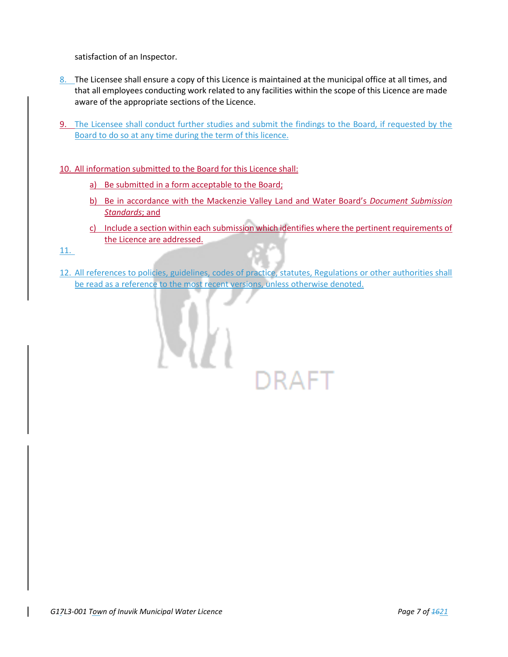satisfaction of an Inspector.

- 8. The Licensee shall ensure a copy of this Licence is maintained at the municipal office at all times, and that all employees conducting work related to any facilities within the scope of this Licence are made aware of the appropriate sections of the Licence.
- 9. The Licensee shall conduct further studies and submit the findings to the Board, if requested by the Board to do so at any time during the term of this licence.

# 10. All information submitted to the Board for this Licence shall:

- a) Be submitted in a form acceptable to the Board;
- b) Be in accordance with the Mackenzie Valley Land and Water Board's *Document Submission Standards*; and
- c) Include a section within each submission which identifies where the pertinent requirements of the Licence are addressed.
- 11.
- 12. All references to policies, guidelines, codes of practice, statutes, Regulations or other authorities shall be read as a reference to the most recent versions, unless otherwise denoted.

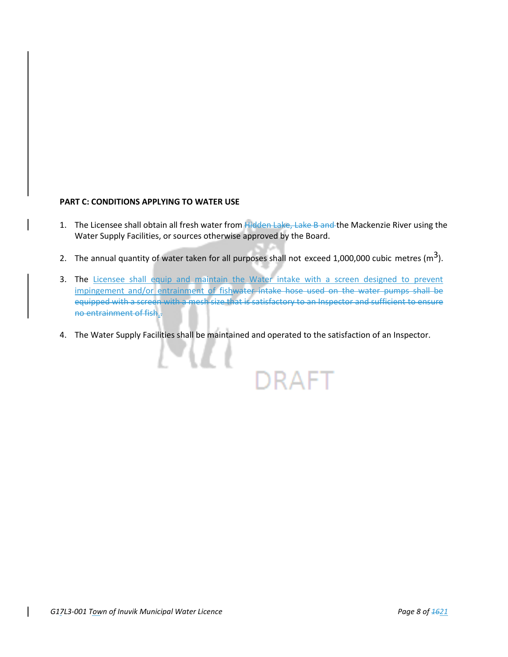#### **PART C: CONDITIONS APPLYING TO WATER USE**

- 1. The Licensee shall obtain all fresh water from Hidden Lake, Lake B and the Mackenzie River using the Water Supply Facilities, or sources otherwise approved by the Board.
- 2. The annual quantity of water taken for all purposes shall not exceed 1,000,000 cubic metres ( $m<sup>3</sup>$ ).
- 3. The Licensee shall equip and maintain the Water intake with a screen designed to prevent impingement and/or entrainment of fishwater intake hose used on the water pumps shall be equipped with a screen with a mesh size that is satisfactory to an Inspector and sufficient to ensure no entrainment of fish..
- 4. The Water Supply Facilities shall be maintained and operated to the satisfaction of an Inspector.

)RAFT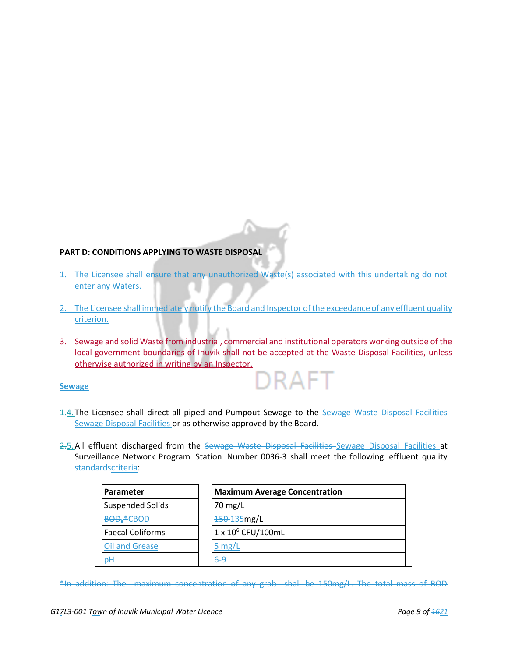## **PART D: CONDITIONS APPLYING TO WASTE DISPOSAL**

- 1. The Licensee shall ensure that any unauthorized Waste(s) associated with this undertaking do not enter any Waters.
- 2. The Licensee shall immediately notify the Board and Inspector of the exceedance of any effluent quality criterion.
- 3. Sewage and solid Waste from industrial, commercial and institutional operators working outside of the local government boundaries of Inuvik shall not be accepted at the Waste Disposal Facilities, unless otherwise authorized in writing by an Inspector.

IRAF.

# **Sewage**

- 1.4. The Licensee shall direct all piped and Pumpout Sewage to the Sewage Waste Disposal Facilities Sewage Disposal Facilities or as otherwise approved by the Board.
- 2.5. All effluent discharged from the Sewage Waste Disposal Facilities Sewage Disposal Facilities at Surveillance Network Program Station Number 0036-3 shall meet the following effluent quality standardscriteria:

| Parameter                                 | <b>Maximum Average Concentration</b> |  |
|-------------------------------------------|--------------------------------------|--|
| <b>Suspended Solids</b>                   | 70 mg/L                              |  |
| <b>BOD</b> <sub>5</sub> <sup>*</sup> CBOD | 150-135mg/L                          |  |
| <b>Faecal Coliforms</b>                   | 1 x 10 <sup>6</sup> CFU/100mL        |  |
| Oil and Grease                            | 5 $mg/L$                             |  |
|                                           | 6-9                                  |  |

\*In addition: The maximum concentration of any grab shall be 150mg/L. The total mass of BOD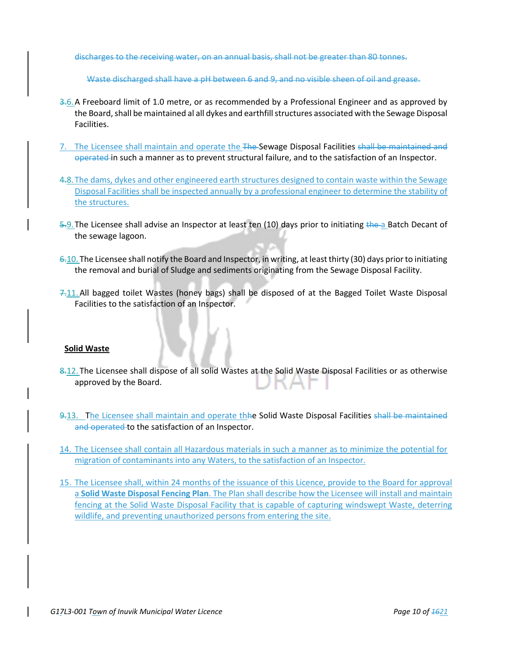discharges to the receiving water, on an annual basis, shall not be greater than 80 tonnes.

Waste discharged shall have a pH between 6 and 9, and no visible sheen of oil and grease.

- 3.6.A Freeboard limit of 1.0 metre, or as recommended by a Professional Engineer and as approved by the Board, shall be maintained al all dykes and earthfill structures associated with the Sewage Disposal Facilities.
- 7. The Licensee shall maintain and operate the The-Sewage Disposal Facilities shall be maintained and operated in such a manner as to prevent structural failure, and to the satisfaction of an Inspector.
- 4.8. The dams, dykes and other engineered earth structures designed to contain waste within the Sewage Disposal Facilities shall be inspected annually by a professional engineer to determine the stability of the structures.
- 5.9. The Licensee shall advise an Inspector at least ten (10) days prior to initiating the a Batch Decant of the sewage lagoon.
- $6.10$ . The Licensee shall notify the Board and Inspector, in writing, at least thirty (30) days prior to initiating the removal and burial of Sludge and sediments originating from the Sewage Disposal Facility.
- 7.11.All bagged toilet Wastes (honey bags) shall be disposed of at the Bagged Toilet Waste Disposal Facilities to the satisfaction of an Inspector.

#### **Solid Waste**

- 8.12. The Licensee shall dispose of all solid Wastes at the Solid Waste Disposal Facilities or as otherwise approved by the Board.
- 9.13. The Licensee shall maintain and operate the Solid Waste Disposal Facilities shall be maintained and operated to the satisfaction of an Inspector.
- 14. The Licensee shall contain all Hazardous materials in such a manner as to minimize the potential for migration of contaminants into any Waters, to the satisfaction of an Inspector.
- 15. The Licensee shall, within 24 months of the issuance of this Licence, provide to the Board for approval a **Solid Waste Disposal Fencing Plan**. The Plan shall describe how the Licensee will install and maintain fencing at the Solid Waste Disposal Facility that is capable of capturing windswept Waste, deterring wildlife, and preventing unauthorized persons from entering the site.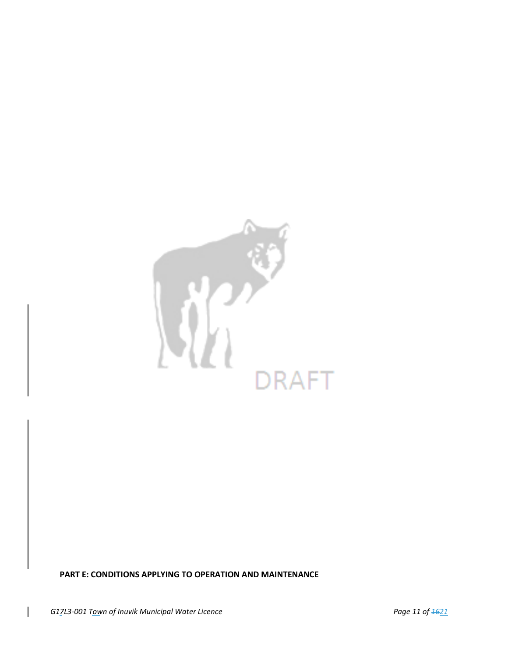

**PART E: CONDITIONS APPLYING TO OPERATION AND MAINTENANCE**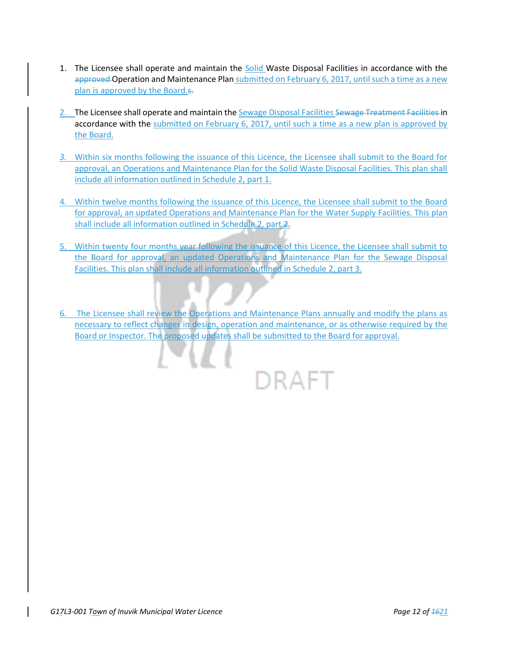- 1. The Licensee shall operate and maintain the Solid Waste Disposal Facilities in accordance with the approved Operation and Maintenance Plan submitted on February 6, 2017, until such a time as a new plan is approved by the Board.s.
- 2. The Licensee shall operate and maintain the Sewage Disposal Facilities Sewage Treatment Facilities in accordance with the submitted on February 6, 2017, until such a time as a new plan is approved by the Board.
- *3.* Within six months following the issuance of this Licence, the Licensee shall submit to the Board for approval, an Operations and Maintenance Plan for the Solid Waste Disposal Facilities. This plan shall include all information outlined in Schedule 2, part 1.
- 4. Within twelve months following the issuance of this Licence, the Licensee shall submit to the Board for approval, an updated Operations and Maintenance Plan for the Water Supply Facilities. This plan shall include all information outlined in Schedule 2, part 2.
- 5. Within twenty four months year following the issuance of this Licence, the Licensee shall submit to the Board for approval, an updated Operations and Maintenance Plan for the Sewage Disposal Facilities. This plan shall include all information outlined in Schedule 2, part 3.
- 6. The Licensee shall review the Operations and Maintenance Plans annually and modify the plans as necessary to reflect changes in design, operation and maintenance, or as otherwise required by the Board or Inspector. The proposed updates shall be submitted to the Board for approval.

DRAFT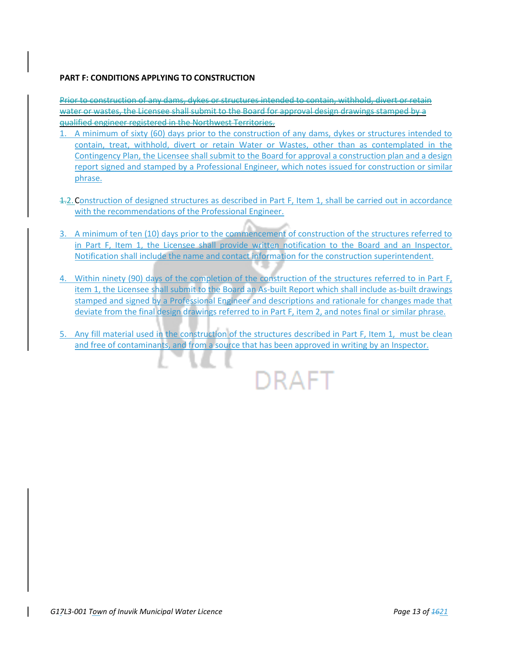## **PART F: CONDITIONS APPLYING TO CONSTRUCTION**

Prior to construction of any dams, dykes or structures intended to contain, withhold, divert or retain water or wastes, the Licensee shall submit to the Board for approval design drawings stamped by a qualified engineer registered in the Northwest Territories.

- 1. A minimum of sixty (60) days prior to the construction of any dams, dykes or structures intended to contain, treat, withhold, divert or retain Water or Wastes, other than as contemplated in the Contingency Plan, the Licensee shall submit to the Board for approval a construction plan and a design report signed and stamped by a Professional Engineer, which notes issued for construction or similar phrase.
- 1.2.Construction of designed structures as described in Part F, Item 1, shall be carried out in accordance with the recommendations of the Professional Engineer.
- 3. A minimum of ten (10) days prior to the commencement of construction of the structures referred to in Part F, Item 1, the Licensee shall provide written notification to the Board and an Inspector. Notification shall include the name and contact information for the construction superintendent.
- 4. Within ninety (90) days of the completion of the construction of the structures referred to in Part F, item 1, the Licensee shall submit to the Board an As-built Report which shall include as-built drawings stamped and signed by a Professional Engineer and descriptions and rationale for changes made that deviate from the final design drawings referred to in Part F, item 2, and notes final or similar phrase.
- 5. Any fill material used in the construction of the structures described in Part F, Item 1, must be clean and free of contaminants, and from a source that has been approved in writing by an Inspector.

DRAFT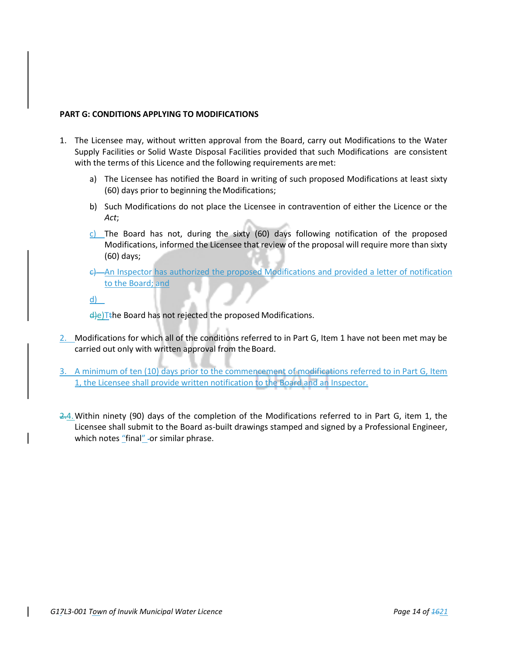## **PART G: CONDITIONS APPLYING TO MODIFICATIONS**

- 1. The Licensee may, without written approval from the Board, carry out Modifications to the Water Supply Facilities or Solid Waste Disposal Facilities provided that such Modifications are consistent with the terms of this Licence and the following requirements are met:
	- a) The Licensee has notified the Board in writing of such proposed Modifications at least sixty (60) days prior to beginning theModifications;
	- b) Such Modifications do not place the Licensee in contravention of either the Licence or the *Act*;
	- c) The Board has not, during the sixty  $(60)$  days following notification of the proposed Modifications, informed the Licensee that review of the proposal will require more than sixty (60) days;
	- c) An Inspector has authorized the proposed Modifications and provided a letter of notification to the Board; and

d)

 $\frac{d}{e}$ )Tthe Board has not rejected the proposed Modifications.

- 2. Modifications for which all of the conditions referred to in Part G, Item 1 have not been met may be carried out only with written approval from the Board.
- 3. A minimum of ten (10) days prior to the commencement of modifications referred to in Part G, Item 1, the Licensee shall provide written notification to the Board and an Inspector.
- 2.4.Within ninety (90) days of the completion of the Modifications referred to in Part G, item 1, the Licensee shall submit to the Board as-built drawings stamped and signed by a Professional Engineer, which notes "final" -or similar phrase.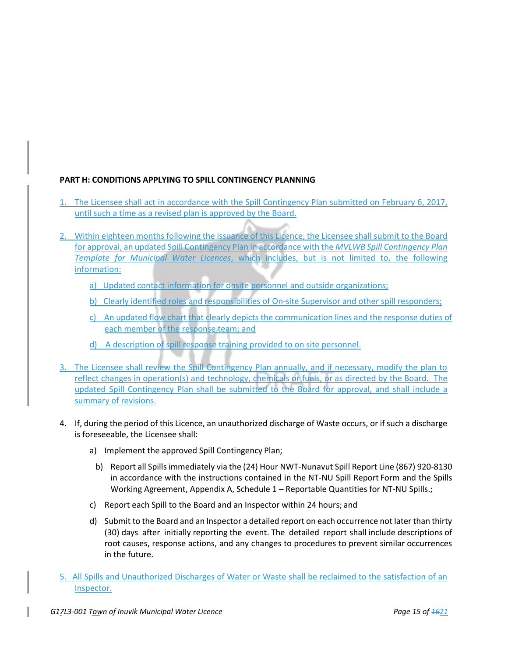# **PART H: CONDITIONS APPLYING TO SPILL CONTINGENCY PLANNING**

- 1. The Licensee shall act in accordance with the Spill Contingency Plan submitted on February 6, 2017, until such a time as a revised plan is approved by the Board.
- 2. Within eighteen months following the issuance of this Licence, the Licensee shall submit to the Board for approval, an updated Spill Contingency Plan in accordance with the *MVLWB Spill Contingency Plan Template for Municipal Water Licences*, which includes, but is not limited to, the following information:
	- a) Updated contact information for onsite personnel and outside organizations;
	- b) Clearly identified roles and responsibilities of On-site Supervisor and other spill responders;
	- c) An updated flow chart that clearly depicts the communication lines and the response duties of each member of the response team; and
	- d) A description of spill response training provided to on site personnel.
- 3. The Licensee shall review the Spill Contingency Plan annually, and if necessary, modify the plan to reflect changes in operation(s) and technology, chemicals or fuels, or as directed by the Board. The updated Spill Contingency Plan shall be submitted to the Board for approval, and shall include a summary of revisions.
- 4. If, during the period of this Licence, an unauthorized discharge of Waste occurs, or if such a discharge is foreseeable, the Licensee shall:
	- a) Implement the approved Spill Contingency Plan;
	- b) Report all Spills immediately via the (24) Hour NWT-Nunavut Spill Report Line (867) 920-8130 in accordance with the instructions contained in the NT-NU Spill Report Form and the Spills Working Agreement, Appendix A, Schedule 1 – Reportable Quantities for NT-NU Spills.;
	- c) Report each Spill to the Board and an Inspector within 24 hours; and
	- d) Submit to the Board and an Inspector a detailed report on each occurrence not later than thirty (30) days after initially reporting the event. The detailed report shall include descriptions of root causes, response actions, and any changes to procedures to prevent similar occurrences in the future.
- 5. All Spills and Unauthorized Discharges of Water or Waste shall be reclaimed to the satisfaction of an Inspector.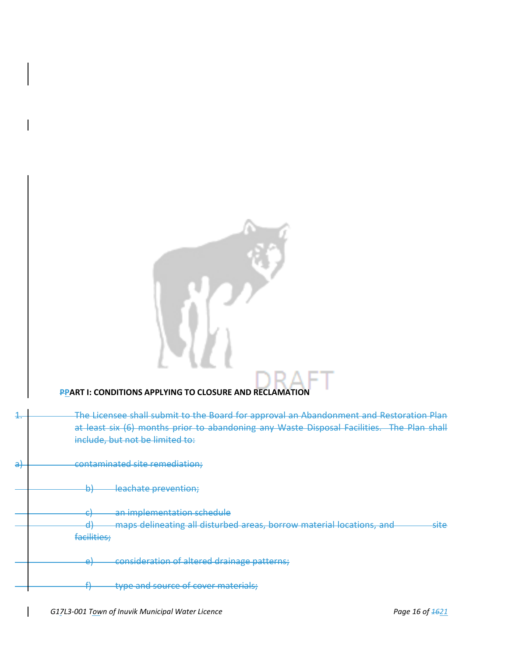# **PPART I: CONDITIONS APPLYING TO CLOSURE AND RECLAMATION**

| -             | The Licensee shall submit to the Board for approval an Abandonment and Restoration Plan<br>at least six (6) months prior to abandoning any Waste Disposal Facilities. The Plan shall<br>include, but not be limited to: |
|---------------|-------------------------------------------------------------------------------------------------------------------------------------------------------------------------------------------------------------------------|
| <del>al</del> | contaminated site remediation;                                                                                                                                                                                          |
|               | h'<br>leachate prevention;<br>ਕਾ                                                                                                                                                                                        |
|               | <u>an imnlamantation cchadula</u><br>◠<br><del>an miplementation scheuule</del><br>ᇬ                                                                                                                                    |
|               | maps delineating all disturbed areas, borrow material locations, and<br>d۱<br>cita.<br>ਰਾਦਰ<br>जा<br>facilities;                                                                                                        |
|               | consideration of altered drainage patterns;<br>$\sim$<br>ᇊ                                                                                                                                                              |
|               | type and source of cover materials;<br>п                                                                                                                                                                                |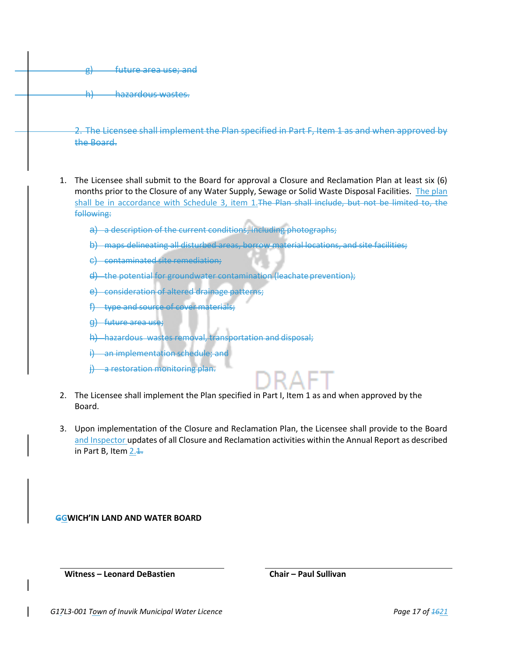g) future area use; and h) hazardous wastes. shall implement the Plan specified in the Board.

- 1. The Licensee shall submit to the Board for approval a Closure and Reclamation Plan at least six (6) months prior to the Closure of any Water Supply, Sewage or Solid Waste Disposal Facilities. The plan shall be in accordance with Schedule 3, item 1. The Plan shall include, but not be limited to, the following:
	- a) a description of the current conditions, including photographs;
	- b) maps delineating all disturbed areas, borrow material locations, and site facilities;
	- c) contaminated site remediation;
	- d) the potential for groundwater contamination (leachate prevention);
	- e) consideration of altered drainage patterns;
	- f) type and source of cover materials;
	- g) future area use;
	- h) hazardous wastes removal, transportation and disposal;
	- i) an implementation schedule; and
	- a restoration monitoring plan.



- 2. The Licensee shall implement the Plan specified in Part I, Item 1 as and when approved by the Board.
- 3. Upon implementation of the Closure and Reclamation Plan, the Licensee shall provide to the Board and Inspector updates of all Closure and Reclamation activities within the Annual Report as described in Part B, Item  $2.4$ .

**GGWICH'IN LAND AND WATER BOARD**

**Witness – Leonard DeBastien Chair – Paul Sullivan**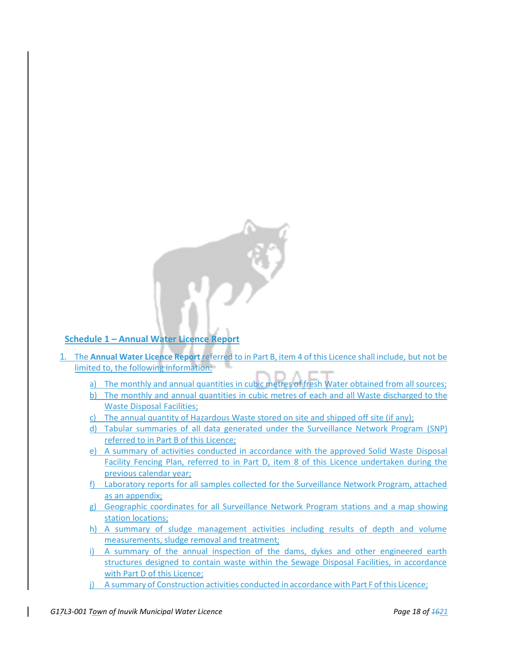

# **Schedule 1 – Annual Water Licence Report**

- 1. The **Annual Water Licence Report** referred to in Part B, item 4 of this Licence shall include, but not be limited to, the following information:
	- a) The monthly and annual quantities in cubic metres of fresh Water obtained from all sources;
	- b) The monthly and annual quantities in cubic metres of each and all Waste discharged to the Waste Disposal Facilities;
	- c) The annual quantity of Hazardous Waste stored on site and shipped off site (if any);
	- d) Tabular summaries of all data generated under the Surveillance Network Program (SNP) referred to in Part B of this Licence;
	- e) A summary of activities conducted in accordance with the approved Solid Waste Disposal Facility Fencing Plan, referred to in Part D, item 8 of this Licence undertaken during the previous calendar year;
	- f) Laboratory reports for all samples collected for the Surveillance Network Program, attached as an appendix;
	- g) Geographic coordinates for all Surveillance Network Program stations and a map showing station locations;
	- h) A summary of sludge management activities including results of depth and volume measurements, sludge removal and treatment;
	- i) A summary of the annual inspection of the dams, dykes and other engineered earth structures designed to contain waste within the Sewage Disposal Facilities, in accordance with Part D of this Licence;
	- j) A summary of Construction activities conducted in accordance with Part F ofthis Licence;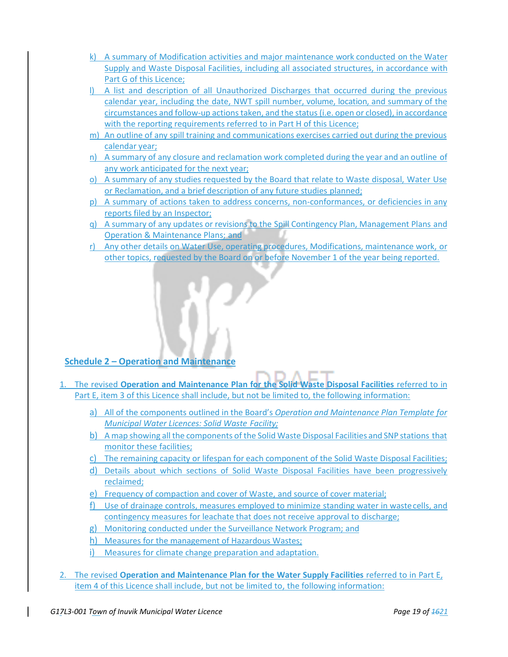- k) A summary of Modification activities and major maintenance work conducted on the Water Supply and Waste Disposal Facilities, including all associated structures, in accordance with Part G of this Licence;
- l) A list and description of all Unauthorized Discharges that occurred during the previous calendar year, including the date, NWT spill number, volume, location, and summary of the circumstances and follow-up actions taken, and the status (i.e. open or closed), in accordance with the reporting requirements referred to in Part H of this Licence;
- m) An outline of any spill training and communications exercises carried out during the previous calendar year;
- n) A summary of any closure and reclamation work completed during the year and an outline of any work anticipated for the next year;
- o) A summary of any studies requested by the Board that relate to Waste disposal, Water Use or Reclamation, and a brief description of any future studies planned;
- p) A summary of actions taken to address concerns, non-conformances, or deficiencies in any reports filed by an Inspector;
- q) A summary of any updates or revisions to the Spill Contingency Plan, Management Plans and Operation & Maintenance Plans; and
- r) Any other details on Water Use, operating procedures, Modifications, maintenance work, or other topics, requested by the Board on or before November 1 of the year being reported.

# **Schedule 2 – Operation and Maintenance**

- 1. The revised **Operation and Maintenance Plan for the Solid Waste Disposal Facilities** referred to in Part E, item 3 of this Licence shall include, but not be limited to, the following information:
	- a) All of the components outlined in the Board's *Operation and Maintenance Plan Template for Municipal Water Licences: Solid Waste Facility;*
	- b) A map showing all the components of the Solid Waste Disposal Facilities and SNP stations that monitor these facilities;
	- c) The remaining capacity or lifespan for each component of the Solid Waste Disposal Facilities;
	- d) Details about which sections of Solid Waste Disposal Facilities have been progressively reclaimed;
	- e) Frequency of compaction and cover of Waste, and source of cover material;
	- f) Use of drainage controls, measures employed to minimize standing water in wastecells, and contingency measures for leachate that does not receive approval to discharge;
	- g) Monitoring conducted under the Surveillance Network Program; and
	- h) Measures for the management of Hazardous Wastes;
	- i) Measures for climate change preparation and adaptation.
- 2. The revised **Operation and Maintenance Plan for the Water Supply Facilities** referred to in Part E, item 4 of this Licence shall include, but not be limited to, the following information: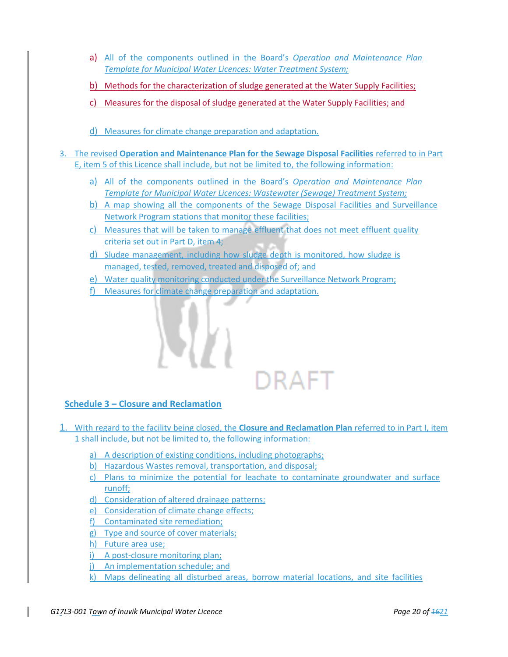- a) All of the components outlined in the Board's *Operation and Maintenance Plan Template for Municipal Water Licences: Water Treatment System;*
- b) Methods for the characterization of sludge generated at the Water Supply Facilities;
- c) Measures for the disposal of sludge generated at the Water Supply Facilities; and
- d) Measures for climate change preparation and adaptation.
- 3. The revised **Operation and Maintenance Plan for the Sewage Disposal Facilities** referred to in Part E, item 5 of this Licence shall include, but not be limited to, the following information:
	- a) All of the components outlined in the Board's *Operation and Maintenance Plan Template for Municipal Water Licences: Wastewater (Sewage) Treatment System;*
	- b) A map showing all the components of the Sewage Disposal Facilities and Surveillance Network Program stations that monitor these facilities;
	- c) Measures that will be taken to manage effluent that does not meet effluent quality criteria set out in Part D, item 4;
	- d) Sludge management, including how sludge depth is monitored, how sludge is managed, tested, removed, treated and disposed of; and
	- e) Water quality monitoring conducted under the Surveillance Network Program;
	- f) Measures for climate change preparation and adaptation.



# **Schedule 3 – Closure and Reclamation**

- 1. With regard to the facility being closed, the **Closure and Reclamation Plan** referred to in Part I, item 1 shall include, but not be limited to, the following information:
	- a) A description of existing conditions, including photographs;
	- b) Hazardous Wastes removal, transportation, and disposal;
	- c) Plans to minimize the potential for leachate to contaminate groundwater and surface runoff;
	- d) Consideration of altered drainage patterns;
	- e) Consideration of climate change effects;
	- f) Contaminated site remediation;
	- g) Type and source of cover materials;
	- h) Future area use;
	- i) A post-closure monitoring plan;
	- j) An implementation schedule; and
	- k) Maps delineating all disturbed areas, borrow material locations, and site facilities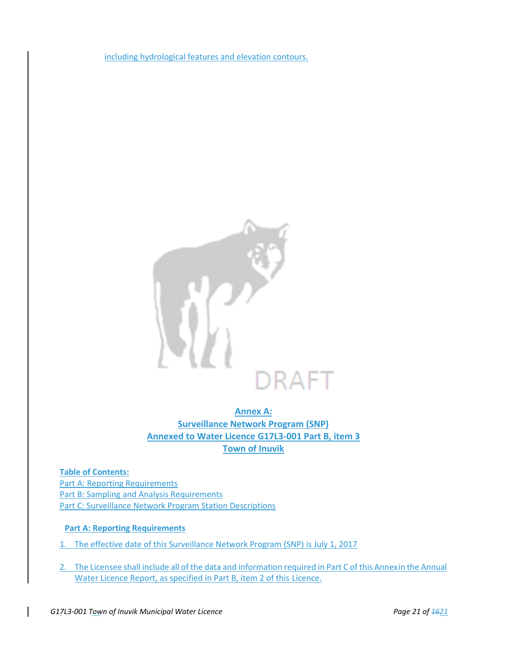including hydrological features and elevation contours.



**Annex A: Surveillance Network Program (SNP) Annexed to Water Licence G17L3-001 Part B, item 3 Town of Inuvik**

**Table of Contents:** Part A: Reporting Requirements Part B: Sampling and Analysis Requirements Part C: Surveillance Network Program Station Descriptions

## **Part A: Reporting Requirements**

- 1. The effective date of this Surveillance Network Program (SNP) is July 1, 2017
- 2. The Licensee shall include all of the data and information required in Part C of this Annexin the Annual Water Licence Report, as specified in Part B, item 2 of this Licence.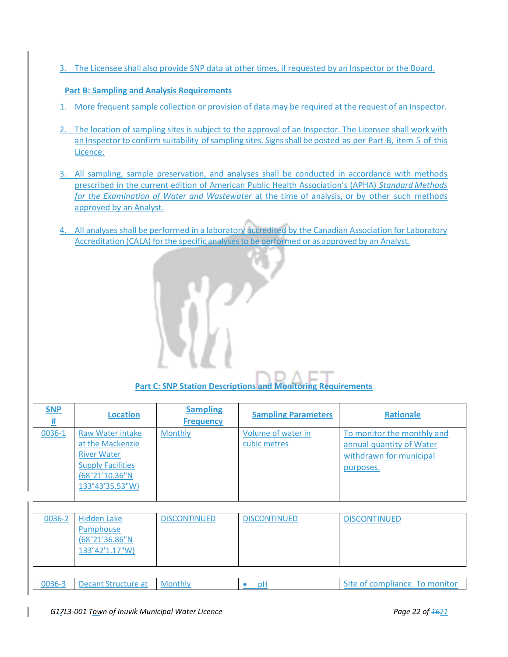3. The Licensee shall also provide SNP data at other times, if requested by an Inspector or the Board.

## **Part B: Sampling and Analysis Requirements**

- 1. More frequent sample collection or provision of data may be required at the request of an Inspector.
- 2. The location of sampling sites is subject to the approval of an Inspector. The Licensee shall workwith an Inspector to confirm suitability of sampling sites. Signs shall be posted as per Part B, item 5 of this Licence.
- 3. All sampling, sample preservation, and analyses shall be conducted in accordance with methods prescribed in the current edition of American Public Health Association's (APHA) *Standard Methods for the Examination of Water and Wastewater* at the time of analysis, or by other such methods approved by an Analyst.
- 4. All analyses shall be performed in a laboratory accredited by the Canadian Association for Laboratory Accreditation (CALA) for the specific analyses to be performed or as approved by an Analyst.

**Part C: SNP Station Descriptions and Monitoring Requirements**

| <b>SNP</b><br>坓 | <b>Location</b>                                                                                                             | <b>Sampling</b><br><b>Frequency</b> | <b>Sampling Parameters</b>         | <b>Rationale</b>                                                                               |
|-----------------|-----------------------------------------------------------------------------------------------------------------------------|-------------------------------------|------------------------------------|------------------------------------------------------------------------------------------------|
| 0036-1          | Raw Water intake<br>at the Mackenzie<br><b>River Water</b><br><b>Supply Facilities</b><br>(68°21'10.36"N<br>133°43'35.53"W) | <b>Monthly</b>                      | Volume of water in<br>cubic metres | To monitor the monthly and<br>annual quantity of Water<br>withdrawn for municipal<br>purposes. |

| 0036-2 | Hidden Lake<br>Pumphouse<br>(68°21'36.86"N<br>133°42'1.17"W) | <b>DISCONTINUED</b> | <b>DISCONTINUED</b> | <b>DISCONTINUED</b>            |
|--------|--------------------------------------------------------------|---------------------|---------------------|--------------------------------|
|        |                                                              |                     |                     |                                |
| 0036-3 | Decant Structure at                                          | <b>Monthly</b>      | p۲                  | Site of compliance. To monitor |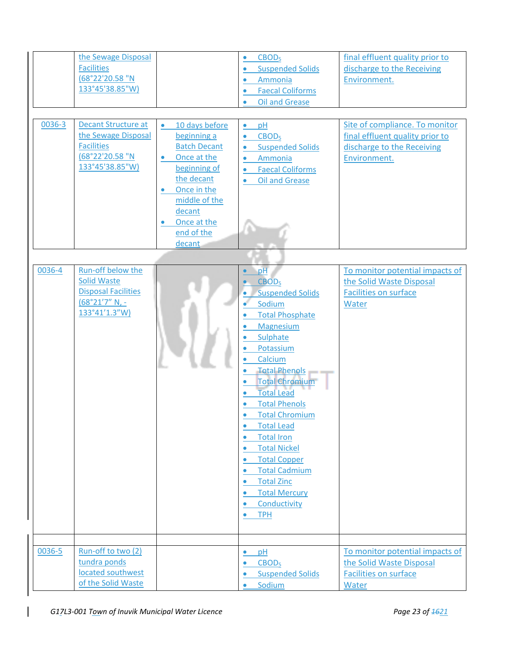| 0036-3 | the Sewage Disposal<br><b>Facilities</b><br>(68°22'20.58 "N<br>133°45'38.85"W)<br><b>Decant Structure at</b><br>the Sewage Disposal<br><b>Facilities</b><br>(68°22'20.58 "N<br>133°45'38.85"W) | 10 days before<br>$\bullet$<br>beginning a<br><b>Batch Decant</b><br>Once at the<br>$\bullet$<br>beginning of<br>the decant<br>Once in the<br>$\bullet$<br>middle of the<br>decant<br>Once at the<br>end of the<br>decant | CBOD <sub>5</sub><br>$\bullet$<br><b>Suspended Solids</b><br>$\bullet$<br>Ammonia<br>$\bullet$<br><b>Faecal Coliforms</b><br>$\bullet$<br><b>Oil and Grease</b><br>$\bullet$<br>pH<br>$\bullet$<br>CBOD <sub>5</sub><br>$\bullet$<br><b>Suspended Solids</b><br>$\bullet$<br>Ammonia<br>$\bullet$<br><b>Faecal Coliforms</b><br>$\bullet$<br><b>Oil and Grease</b><br>$\bullet$                                                                                                                                                                                                                                                                              | final effluent quality prior to<br>discharge to the Receiving<br>Environment.<br>Site of compliance. To monitor<br>final effluent quality prior to<br>discharge to the Receiving<br>Environment. |
|--------|------------------------------------------------------------------------------------------------------------------------------------------------------------------------------------------------|---------------------------------------------------------------------------------------------------------------------------------------------------------------------------------------------------------------------------|--------------------------------------------------------------------------------------------------------------------------------------------------------------------------------------------------------------------------------------------------------------------------------------------------------------------------------------------------------------------------------------------------------------------------------------------------------------------------------------------------------------------------------------------------------------------------------------------------------------------------------------------------------------|--------------------------------------------------------------------------------------------------------------------------------------------------------------------------------------------------|
| 0036-4 | Run-off below the<br><b>Solid Waste</b><br><b>Disposal Facilities</b><br>$(68°21'7" N, -$<br>133°41'1.3"W)                                                                                     |                                                                                                                                                                                                                           | pH<br>CBOD <sub>5</sub><br><b>Suspended Solids</b><br>$\bullet$<br>Sodium<br><b>Total Phosphate</b><br>$\bullet$<br>Magnesium<br>Sulphate<br>Potassium<br>Calcium<br><b>Total Phenols</b><br>$\bullet$<br><b>Total Chromium</b><br><b>Total Lead</b><br>$\bullet$<br><b>Total Phenols</b><br>$\bullet$<br><b>Total Chromium</b><br>$\bullet$<br><b>Total Lead</b><br>$\bullet$<br><b>Total Iron</b><br>$\bullet$<br><b>Total Nickel</b><br>$\bullet$<br><b>Total Copper</b><br>$\bullet$<br><b>Total Cadmium</b><br>$\bullet$<br><b>Total Zinc</b><br>$\bullet$<br><b>Total Mercury</b><br>$\bullet$<br>Conductivity<br>$\bullet$<br><b>TPH</b><br>$\bullet$ | To monitor potential impacts of<br>the Solid Waste Disposal<br><b>Facilities on surface</b><br>Water                                                                                             |
| 0036-5 | Run-off to two (2)<br>tundra ponds<br>located southwest<br>of the Solid Waste                                                                                                                  |                                                                                                                                                                                                                           | pH<br>$\bullet$<br>CBOD <sub>5</sub><br>$\bullet$<br><b>Suspended Solids</b><br>$\bullet$<br>Sodium<br>$\bullet$                                                                                                                                                                                                                                                                                                                                                                                                                                                                                                                                             | To monitor potential impacts of<br>the Solid Waste Disposal<br><b>Facilities on surface</b><br>Water                                                                                             |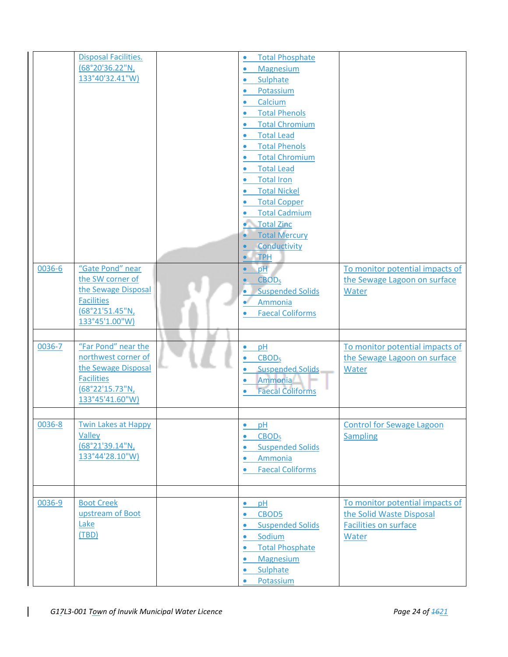|        | <b>Disposal Facilities.</b> | <b>Total Phosphate</b><br>$\bullet$  |                                  |
|--------|-----------------------------|--------------------------------------|----------------------------------|
|        | (68°20'36.22"N,             | Magnesium<br>$\bullet$               |                                  |
|        | 133°40'32.41"W)             | Sulphate<br>$\bullet$                |                                  |
|        |                             | Potassium<br>$\bullet$               |                                  |
|        |                             | Calcium<br>$\bullet$                 |                                  |
|        |                             | <b>Total Phenols</b>                 |                                  |
|        |                             | <b>Total Chromium</b>                |                                  |
|        |                             |                                      |                                  |
|        |                             | <b>Total Lead</b><br>$\bullet$       |                                  |
|        |                             | <b>Total Phenols</b><br>$\bullet$    |                                  |
|        |                             | <b>Total Chromium</b>                |                                  |
|        |                             | <b>Total Lead</b><br>$\bullet$       |                                  |
|        |                             | <b>Total Iron</b><br>$\bullet$       |                                  |
|        |                             | <b>Total Nickel</b><br>$\bullet$     |                                  |
|        |                             | <b>Total Copper</b>                  |                                  |
|        |                             | <b>Total Cadmium</b>                 |                                  |
|        |                             | Total Zinc                           |                                  |
|        |                             | <b>Total Mercury</b>                 |                                  |
|        |                             | Conductivity                         |                                  |
|        |                             | <b>TPH</b>                           |                                  |
| 0036-6 | "Gate Pond" near            | pH                                   | To monitor potential impacts of  |
|        | the SW corner of            | CBOD <sub>5</sub>                    | the Sewage Lagoon on surface     |
|        | the Sewage Disposal         | <b>Suspended Solids</b><br>۰         | Water                            |
|        | <b>Facilities</b>           | Ammonia                              |                                  |
|        | (68°21'51.45"N,             | <b>Faecal Coliforms</b>              |                                  |
|        | 133°45'1.00"W)              |                                      |                                  |
|        |                             |                                      |                                  |
| 0036-7 | "Far Pond" near the         | pH<br>$\bullet$                      | To monitor potential impacts of  |
|        | northwest corner of         | CBOD <sub>5</sub>                    | the Sewage Lagoon on surface     |
|        | the Sewage Disposal         |                                      |                                  |
|        | <b>Facilities</b>           | <b>Suspended Solids</b><br>$\bullet$ | Water                            |
|        | (68°22'15.73"N <sub>L</sub> | Ammonia<br>$\bullet$                 |                                  |
|        | 133°45'41.60"W)             | <b>Faecal Coliforms</b>              |                                  |
|        |                             |                                      |                                  |
|        |                             |                                      |                                  |
| 0036-8 | <b>Twin Lakes at Happy</b>  | pH<br>$\bullet$                      | <b>Control for Sewage Lagoon</b> |
|        | <b>Valley</b>               | CBOD <sub>5</sub><br>$\bullet$       | <b>Sampling</b>                  |
|        | (68°21'39.14"N,             | <b>Suspended Solids</b><br>$\bullet$ |                                  |
|        | 133°44'28.10"W)             | Ammonia<br>$\bullet$                 |                                  |
|        |                             | <b>Faecal Coliforms</b><br>$\bullet$ |                                  |
|        |                             |                                      |                                  |
|        |                             |                                      |                                  |
| 0036-9 | <b>Boot Creek</b>           | pH<br>$\bullet$                      | To monitor potential impacts of  |
|        | upstream of Boot            | CBOD5<br>$\bullet$                   | the Solid Waste Disposal         |
|        | Lake                        | <b>Suspended Solids</b><br>$\bullet$ | <b>Facilities on surface</b>     |
|        | (TBD)                       | Sodium<br>$\bullet$                  | Water                            |
|        |                             | <b>Total Phosphate</b><br>$\bullet$  |                                  |
|        |                             | Magnesium<br>$\bullet$               |                                  |
|        |                             | Sulphate<br>$\bullet$                |                                  |
|        |                             | Potassium                            |                                  |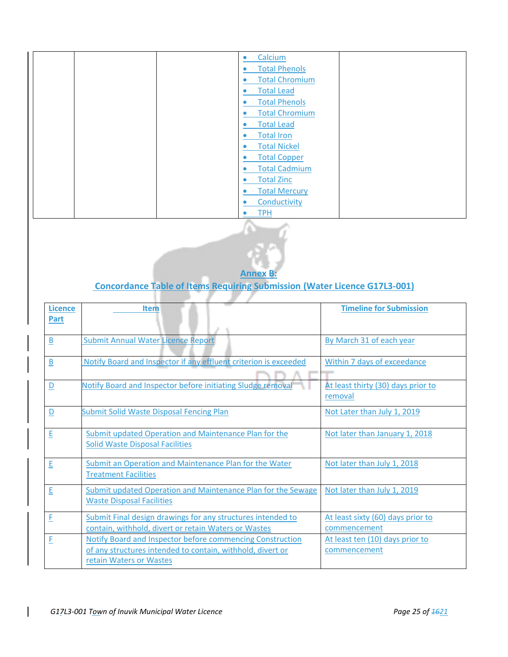| Calcium<br>$\bullet$              |
|-----------------------------------|
| <b>Total Phenols</b>              |
| <b>Total Chromium</b>             |
| <b>Total Lead</b><br>٠            |
| <b>Total Phenols</b><br>$\bullet$ |
| <b>Total Chromium</b><br>٠        |
| <b>Total Lead</b><br>$\bullet$    |
| <b>Total Iron</b><br>$\bullet$    |
| <b>Total Nickel</b><br>$\bullet$  |
| <b>Total Copper</b><br>٠          |
| <b>Total Cadmium</b><br>٠         |
| <b>Total Zinc</b><br>$\bullet$    |
| <b>Total Mercury</b><br>٠         |
| Conductivity<br>$\bullet$         |
| <b>TPH</b><br>$\bullet$           |
|                                   |



# **Concordance Table of Items Requiring Submission (Water Licence G17L3-001)**

| <b>Licence</b><br>Part  | <b>Item</b>                                                                                                                                        | <b>Timeline for Submission</b>                    |
|-------------------------|----------------------------------------------------------------------------------------------------------------------------------------------------|---------------------------------------------------|
| $\overline{\mathsf{B}}$ | <b>Submit Annual Water Licence Report</b>                                                                                                          | By March 31 of each year                          |
| $\overline{B}$          | Notify Board and Inspector if any effluent criterion is exceeded                                                                                   | Within 7 days of exceedance                       |
| $\overline{\mathsf{D}}$ | Notify Board and Inspector before initiating Sludge removal                                                                                        | At least thirty (30) days prior to<br>removal     |
| $\overline{\mathsf{D}}$ | <b>Submit Solid Waste Disposal Fencing Plan</b>                                                                                                    | Not Later than July 1, 2019                       |
| E                       | Submit updated Operation and Maintenance Plan for the<br><b>Solid Waste Disposal Facilities</b>                                                    | Not later than January 1, 2018                    |
| E                       | Submit an Operation and Maintenance Plan for the Water<br><b>Treatment Facilities</b>                                                              | Not later than July 1, 2018                       |
| E                       | Submit updated Operation and Maintenance Plan for the Sewage<br><b>Waste Disposal Facilities</b>                                                   | Not later than July 1, 2019                       |
| E                       | Submit Final design drawings for any structures intended to<br>contain, withhold, divert or retain Waters or Wastes                                | At least sixty (60) days prior to<br>commencement |
| F                       | Notify Board and Inspector before commencing Construction<br>of any structures intended to contain, withhold, divert or<br>retain Waters or Wastes | At least ten (10) days prior to<br>commencement   |

u